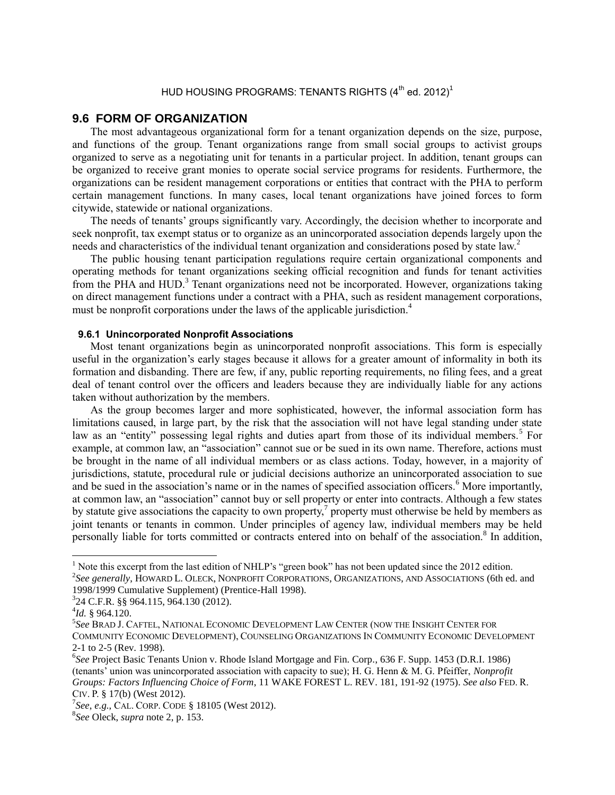# <span id="page-0-0"></span>HUD HOUSING PROGRAMS: TENANTS RIGHTS  $(4^{th}$  ed. 2012)<sup>1</sup>

## **9.6 FORM OF ORGANIZATION**

The most advantageous organizational form for a tenant organization depends on the size, purpose, and functions of the group. Tenant organizations range from small social groups to activist groups organized to serve as a negotiating unit for tenants in a particular project. In addition, tenant groups can be organized to receive grant monies to operate social service programs for residents. Furthermore, the organizations can be resident management corporations or entities that contract with the PHA to perform certain management functions. In many cases, local tenant organizations have joined forces to form citywide, statewide or national organizations.

The needs of tenants' groups significantly vary. Accordingly, the decision whether to incorporate and seek nonprofit, tax exempt status or to organize as an unincorporated association depends largely upon the needs and characteristics of the individual tenant organization and considerations posed by state law.<sup>2</sup>

The public housing tenant participation regulations require certain organizational components and operating methods for tenant organizations seeking official recognition and funds for tenant activities from the PHA and  $HUD$ <sup>3</sup>. Tenant organizations need not be incorporated. However, organizations taking on direct management functions under a contract with a PHA, such as resident management corporations, must be nonprofit corporations under the laws of the applicable jurisdiction.<sup>4</sup>

#### **9.6.1 Unincorporated Nonprofit Associations**

Most tenant organizations begin as unincorporated nonprofit associations. This form is especially useful in the organization's early stages because it allows for a greater amount of informality in both its formation and disbanding. There are few, if any, public reporting requirements, no filing fees, and a great deal of tenant control over the officers and leaders because they are individually liable for any actions taken without authorization by the members.

<span id="page-0-2"></span>As the group becomes larger and more sophisticated, however, the informal association form has limitations caused, in large part, by the risk that the association will not have legal standing under state law as an "entity" possessing legal rights and duties apart from those of its individual members.<sup>5</sup> For example, at common law, an "association" cannot sue or be sued in its own name. Therefore, actions must be brought in the name of all individual members or as class actions. Today, however, in a majority of jurisdictions, statute, procedural rule or judicial decisions authorize an unincorporated association to sue and be sued in the association's name or in the names of specified association officers.<sup>6</sup> More importantly, at common law, an "association" cannot buy or sell property or enter into contracts. Although a few states by statute give associations the capacity to own property,<sup>7</sup> property must otherwise be held by members as joint tenants or tenants in common. Under principles of agency law, individual members may be held personally liable for torts committed or contracts entered into on behalf of the association.<sup>8</sup> In addition,

<span id="page-0-1"></span> $\overline{a}$ 

<sup>&</sup>lt;sup>1</sup> Note this excerpt from the last edition of NHLP's "green book" has not been updated since the 2012 edition.

<sup>2</sup> *See generally*, HOWARD L. OLECK, NONPROFIT CORPORATIONS, ORGANIZATIONS, AND ASSOCIATIONS (6th ed. and 1998/1999 Cumulative Supplement) (Prentice-Hall 1998).

<sup>3</sup> 24 C.F.R. §§ 964.115, 964.130 (2012).

<sup>4</sup> *Id.* § 964.120.

<sup>5</sup> *See* BRAD J. CAFTEL, NATIONAL ECONOMIC DEVELOPMENT LAW CENTER (NOW THE INSIGHT CENTER FOR COMMUNITY ECONOMIC DEVELOPMENT), COUNSELING ORGANIZATIONS IN COMMUNITY ECONOMIC DEVELOPMENT 2-1 to 2-5 (Rev. 1998).

<sup>6</sup> *See* Project Basic Tenants Union v. Rhode Island Mortgage and Fin. Corp*.*, 636 F. Supp. 1453 (D.R.I. 1986) (tenants' union was unincorporated association with capacity to sue); H. G. Henn & M. G. Pfeiffer, *Nonprofit Groups: Factors Influencing Choice of Form*, 11 WAKE FOREST L. REV. 181, 191-92 (1975). *See also* FED. R. CIV. P. § 17(b) (West 2012).

<sup>7</sup> *See*, *e.g.*, CAL. CORP. CODE § 18105 (West 2012).

<sup>8</sup> *See* Oleck, *supra* note [2,](#page-0-0) p. 153.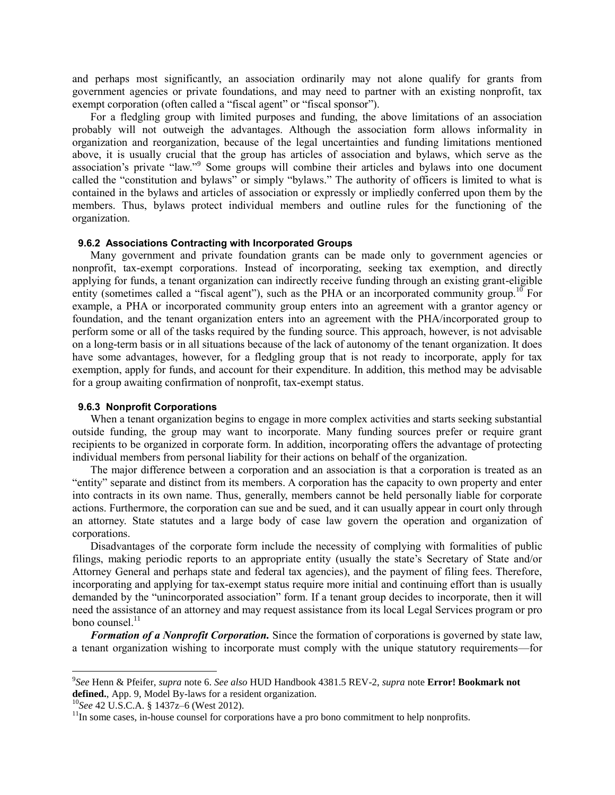and perhaps most significantly, an association ordinarily may not alone qualify for grants from government agencies or private foundations, and may need to partner with an existing nonprofit, tax exempt corporation (often called a "fiscal agent" or "fiscal sponsor").

For a fledgling group with limited purposes and funding, the above limitations of an association probably will not outweigh the advantages. Although the association form allows informality in organization and reorganization, because of the legal uncertainties and funding limitations mentioned above, it is usually crucial that the group has articles of association and bylaws, which serve as the association's private "law."<sup>9</sup> Some groups will combine their articles and bylaws into one document called the "constitution and bylaws" or simply "bylaws." The authority of officers is limited to what is contained in the bylaws and articles of association or expressly or impliedly conferred upon them by the members. Thus, bylaws protect individual members and outline rules for the functioning of the organization.

### **9.6.2 Associations Contracting with Incorporated Groups**

Many government and private foundation grants can be made only to government agencies or nonprofit, tax-exempt corporations. Instead of incorporating, seeking tax exemption, and directly applying for funds, a tenant organization can indirectly receive funding through an existing grant-eligible entity (sometimes called a "fiscal agent"), such as the PHA or an incorporated community group.<sup>10</sup> For example, a PHA or incorporated community group enters into an agreement with a grantor agency or foundation, and the tenant organization enters into an agreement with the PHA/incorporated group to perform some or all of the tasks required by the funding source. This approach, however, is not advisable on a long-term basis or in all situations because of the lack of autonomy of the tenant organization. It does have some advantages, however, for a fledgling group that is not ready to incorporate, apply for tax exemption, apply for funds, and account for their expenditure. In addition, this method may be advisable for a group awaiting confirmation of nonprofit, tax-exempt status.

#### **9.6.3 Nonprofit Corporations**

When a tenant organization begins to engage in more complex activities and starts seeking substantial outside funding, the group may want to incorporate. Many funding sources prefer or require grant recipients to be organized in corporate form. In addition, incorporating offers the advantage of protecting individual members from personal liability for their actions on behalf of the organization.

The major difference between a corporation and an association is that a corporation is treated as an "entity" separate and distinct from its members. A corporation has the capacity to own property and enter into contracts in its own name. Thus, generally, members cannot be held personally liable for corporate actions. Furthermore, the corporation can sue and be sued, and it can usually appear in court only through an attorney. State statutes and a large body of case law govern the operation and organization of corporations.

Disadvantages of the corporate form include the necessity of complying with formalities of public filings, making periodic reports to an appropriate entity (usually the state's Secretary of State and/or Attorney General and perhaps state and federal tax agencies), and the payment of filing fees. Therefore, incorporating and applying for tax-exempt status require more initial and continuing effort than is usually demanded by the "unincorporated association" form. If a tenant group decides to incorporate, then it will need the assistance of an attorney and may request assistance from its local Legal Services program or pro bono counsel. $^{11}$ 

*Formation of a Nonprofit Corporation.* Since the formation of corporations is governed by state law, a tenant organization wishing to incorporate must comply with the unique statutory requirements—for

 $\overline{\phantom{a}}$ 

<sup>9</sup> *See* Henn & Pfeifer, *supra* note [6.](#page-0-1) *See also* HUD Handbook 4381.5 REV-2, *supra* note **Error! Bookmark not defined.**, App. 9, Model By-laws for a resident organization.

<sup>10</sup>*See* 42 U.S.C.A. § 1437z–6 (West 2012).

 $11$ In some cases, in-house counsel for corporations have a pro bono commitment to help nonprofits.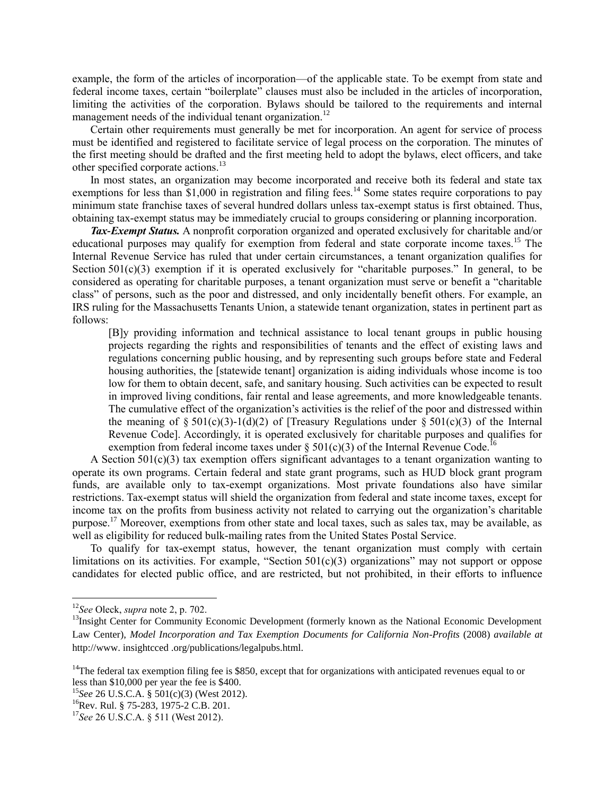example, the form of the articles of incorporation—of the applicable state. To be exempt from state and federal income taxes, certain "boilerplate" clauses must also be included in the articles of incorporation, limiting the activities of the corporation. Bylaws should be tailored to the requirements and internal management needs of the individual tenant organization.<sup>12</sup>

Certain other requirements must generally be met for incorporation. An agent for service of process must be identified and registered to facilitate service of legal process on the corporation. The minutes of the first meeting should be drafted and the first meeting held to adopt the bylaws, elect officers, and take other specified corporate actions.<sup>13</sup>

<span id="page-2-0"></span>In most states, an organization may become incorporated and receive both its federal and state tax exemptions for less than  $$1,000$  in registration and filing fees.<sup>14</sup> Some states require corporations to pay minimum state franchise taxes of several hundred dollars unless tax-exempt status is first obtained. Thus, obtaining tax-exempt status may be immediately crucial to groups considering or planning incorporation.

*Tax-Exempt Status.* A nonprofit corporation organized and operated exclusively for charitable and/or educational purposes may qualify for exemption from federal and state corporate income taxes.<sup>15</sup> The Internal Revenue Service has ruled that under certain circumstances, a tenant organization qualifies for Section  $501(c)(3)$  exemption if it is operated exclusively for "charitable purposes." In general, to be considered as operating for charitable purposes, a tenant organization must serve or benefit a "charitable class" of persons, such as the poor and distressed, and only incidentally benefit others. For example, an IRS ruling for the Massachusetts Tenants Union, a statewide tenant organization, states in pertinent part as follows:

[B]y providing information and technical assistance to local tenant groups in public housing projects regarding the rights and responsibilities of tenants and the effect of existing laws and regulations concerning public housing, and by representing such groups before state and Federal housing authorities, the [statewide tenant] organization is aiding individuals whose income is too low for them to obtain decent, safe, and sanitary housing. Such activities can be expected to result in improved living conditions, fair rental and lease agreements, and more knowledgeable tenants. The cumulative effect of the organization's activities is the relief of the poor and distressed within the meaning of § 501(c)(3)-1(d)(2) of [Treasury Regulations under § 501(c)(3) of the Internal Revenue Code]. Accordingly, it is operated exclusively for charitable purposes and qualifies for exemption from federal income taxes under § 501(c)(3) of the Internal Revenue Code.<sup>16</sup>

A Section  $501(c)(3)$  tax exemption offers significant advantages to a tenant organization wanting to operate its own programs. Certain federal and state grant programs, such as HUD block grant program funds, are available only to tax-exempt organizations. Most private foundations also have similar restrictions. Tax-exempt status will shield the organization from federal and state income taxes, except for income tax on the profits from business activity not related to carrying out the organization's charitable purpose.<sup>17</sup> Moreover, exemptions from other state and local taxes, such as sales tax, may be available, as well as eligibility for reduced bulk-mailing rates from the United States Postal Service.

To qualify for tax-exempt status, however, the tenant organization must comply with certain limitations on its activities. For example, "Section  $501(c)(3)$  organizations" may not support or oppose candidates for elected public office, and are restricted, but not prohibited, in their efforts to influence

 $\overline{\phantom{a}}$ 

<sup>12</sup>*See* Oleck, *supra* not[e 2,](#page-0-0) p. 702.

<sup>&</sup>lt;sup>13</sup>Insight Center for Community Economic Development (formerly known as the National Economic Development Law Center), *Model Incorporation and Tax Exemption Documents for California Non-Profits* (2008) *available at*  http://www. insightcced .org/publications/legalpubs.html.

<sup>&</sup>lt;sup>14</sup>The federal tax exemption filing fee is \$850, except that for organizations with anticipated revenues equal to or less than \$10,000 per year the fee is \$400.

<sup>15</sup>*See* 26 U.S.C.A. § 501(c)(3) (West 2012).

<sup>&</sup>lt;sup>16</sup>Rev. Rul. § 75-283, 1975-2 C.B. 201.

<sup>&</sup>lt;sup>17</sup>See 26 U.S.C.A. § 511 (West 2012).